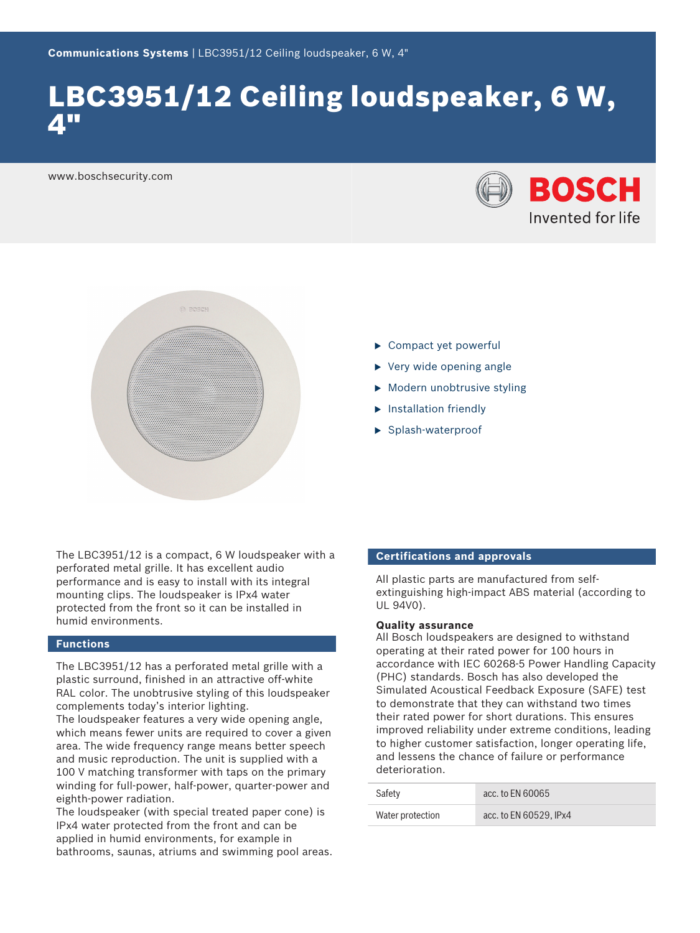# LBC3951/12 Ceiling loudspeaker, 6 W, 4"

www.boschsecurity.com





- $\triangleright$  Compact yet powerful
- $\triangleright$  Very wide opening angle
- $\triangleright$  Modern unobtrusive styling
- $\blacktriangleright$  Installation friendly
- $\blacktriangleright$  Splash-waterproof

The LBC3951/12 is a compact, 6 W loudspeaker with a perforated metal grille. It has excellent audio performance and is easy to install with its integral mounting clips. The loudspeaker is IPx4 water protected from the front so it can be installed in humid environments.

# **Functions**

The LBC3951/12 has a perforated metal grille with a plastic surround, finished in an attractive off-white RAL color. The unobtrusive styling of this loudspeaker complements today's interior lighting.

The loudspeaker features a very wide opening angle, which means fewer units are required to cover a given area. The wide frequency range means better speech and music reproduction. The unit is supplied with a 100 V matching transformer with taps on the primary winding for full-power, half-power, quarter-power and eighth-power radiation.

The loudspeaker (with special treated paper cone) is IPx4 water protected from the front and can be applied in humid environments, for example in bathrooms, saunas, atriums and swimming pool areas.

# **Certifications and approvals**

All plastic parts are manufactured from selfextinguishing high-impact ABS material (according to UL 94V0).

### **Quality assurance**

All Bosch loudspeakers are designed to withstand operating at their rated power for 100 hours in accordance with IEC 60268-5 Power Handling Capacity (PHC) standards. Bosch has also developed the Simulated Acoustical Feedback Exposure (SAFE) test to demonstrate that they can withstand two times their rated power for short durations. This ensures improved reliability under extreme conditions, leading to higher customer satisfaction, longer operating life, and lessens the chance of failure or performance deterioration.

| Safety           | acc. to EN 60065       |
|------------------|------------------------|
| Water protection | acc. to EN 60529. IPx4 |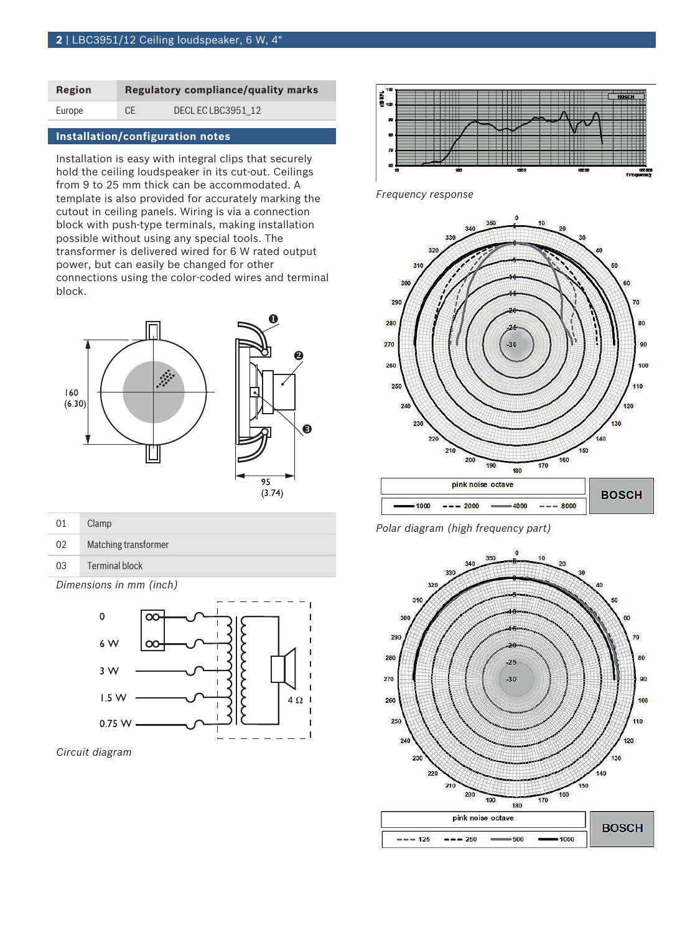| Region | <b>Regulatory compliance/quality marks</b> |                  |
|--------|--------------------------------------------|------------------|
| Europe | CE                                         | DECLECLBC3951 12 |

# **Installation/configuration notes**

Installation is easy with integral clips that securely hold the ceiling loudspeaker in its cut-out. Ceilings from 9 to 25 mm thick can be accommodated. A template is also provided for accurately marking the cutout in ceiling panels. Wiring is via a connection block with push-type terminals, making installation possible without using any special tools. The transformer is delivered wired for 6 W rated output power, but can easily be changed for other connections using the color-coded wires and terminal block.





| 01 | Clamp                |
|----|----------------------|
| 02 | Matching transformer |
| 03 | Terminal block       |

*Dimensions in mm (inch)*



*Circuit diagram*



*Frequency response*



*Polar diagram (high frequency part)*

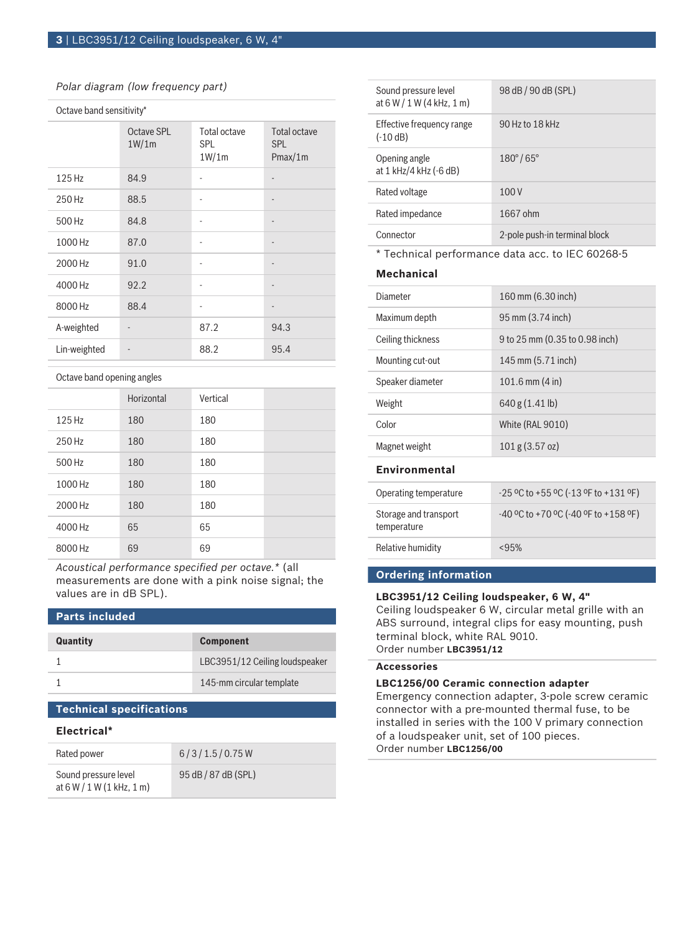# *Polar diagram (low frequency part)*

| Octave band sensitivity* |                              |                                     |                                       |
|--------------------------|------------------------------|-------------------------------------|---------------------------------------|
|                          | Octave SPL<br>1W/1m          | Total octave<br><b>SPL</b><br>1W/1m | Total octave<br><b>SPL</b><br>Pmax/1m |
| 125 Hz                   | 84.9                         | ٠                                   |                                       |
| 250 Hz                   | 88.5                         | ٠                                   |                                       |
| 500 Hz                   | 84.8                         | ٠                                   | -                                     |
| 1000 Hz                  | 87.0                         | ٠                                   |                                       |
| 2000 Hz                  | 91.0                         |                                     |                                       |
| 4000 Hz                  | 92.2                         | ٠                                   |                                       |
| 8000 Hz                  | 88.4                         | ٠                                   |                                       |
| A-weighted               | $\qquad \qquad \blacksquare$ | 87.2                                | 94.3                                  |
| Lin-weighted             |                              | 88.2                                | 95.4                                  |

#### Octave band opening angles

|         | Horizontal | Vertical |  |
|---------|------------|----------|--|
| 125 Hz  | 180        | 180      |  |
| 250 Hz  | 180        | 180      |  |
| 500 Hz  | 180        | 180      |  |
| 1000 Hz | 180        | 180      |  |
| 2000 Hz | 180        | 180      |  |
| 4000 Hz | 65         | 65       |  |
| 8000 Hz | 69         | 69       |  |

*Acoustical performance specified per octave.\** (all measurements are done with a pink noise signal; the values are in dB SPL).

### **Parts included**

| Quantity | <b>Component</b>               |
|----------|--------------------------------|
|          | LBC3951/12 Ceiling loudspeaker |
|          | 145-mm circular template       |

# **Technical specifications**

#### **Electrical\***

| Rated power                                         | 6/3/1.5/0.75W       |
|-----------------------------------------------------|---------------------|
| Sound pressure level<br>at $6 W / 1 W (1 kHz, 1 m)$ | 95 dB / 87 dB (SPL) |

| Sound pressure level<br>at $6 W / 1 W (4 kHz, 1 m)$ | 98 dB / 90 dB (SPL)           |
|-----------------------------------------------------|-------------------------------|
| Effective frequency range<br>$(-10 dB)$             | 90 Hz to 18 kHz               |
| Opening angle<br>at 1 kHz/4 kHz (-6 dB)             | $180^{\circ}/65^{\circ}$      |
| Rated voltage                                       | 100 V                         |
| Rated impedance                                     | 1667 ohm                      |
| Connector                                           | 2-pole push-in terminal block |

\* Technical performance data acc. to IEC 60268-5

# **Mechanical**

| Diameter                             | 160 mm (6.30 inch)                        |
|--------------------------------------|-------------------------------------------|
| Maximum depth                        | 95 mm (3.74 inch)                         |
| Ceiling thickness                    | 9 to 25 mm (0.35 to 0.98 inch)            |
| Mounting cut-out                     | 145 mm (5.71 inch)                        |
| Speaker diameter                     | $101.6$ mm $(4 \text{ in})$               |
| Weight                               | 640 g (1.41 lb)                           |
| Color                                | White (RAL 9010)                          |
| Magnet weight                        | $101$ g $(3.57$ oz)                       |
| Environmental                        |                                           |
| Operating temperature                | $-25$ °C to +55 °C ( $-13$ °F to +131 °F) |
| Storage and transport<br>temperature | $-40$ °C to +70 °C ( $-40$ °F to +158 °F) |
| <b>Relative humidity</b>             | < 95%                                     |
|                                      |                                           |

# **Ordering information**

# **LBC3951/12 Ceiling loudspeaker, 6 W, 4"**

Ceiling loudspeaker 6 W, circular metal grille with an ABS surround, integral clips for easy mounting, push terminal block, white RAL 9010. Order number **LBC3951/12**

### **Accessories**

#### **LBC1256/00 Ceramic connection adapter**

Emergency connection adapter, 3-pole screw ceramic connector with a pre-mounted thermal fuse, to be installed in series with the 100 V primary connection of a loudspeaker unit, set of 100 pieces. Order number **LBC1256/00**